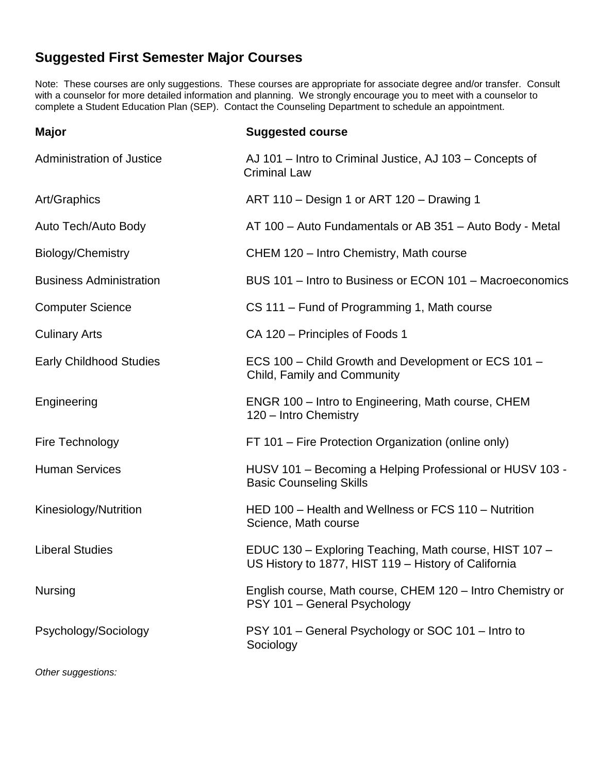## **Suggested First Semester Major Courses**

Note: These courses are only suggestions. These courses are appropriate for associate degree and/or transfer. Consult with a counselor for more detailed information and planning. We strongly encourage you to meet with a counselor to complete a Student Education Plan (SEP). Contact the Counseling Department to schedule an appointment.

| <b>Major</b>                     | <b>Suggested course</b>                                                                                        |
|----------------------------------|----------------------------------------------------------------------------------------------------------------|
| <b>Administration of Justice</b> | AJ 101 – Intro to Criminal Justice, AJ 103 – Concepts of<br><b>Criminal Law</b>                                |
| Art/Graphics                     | ART 110 - Design 1 or ART 120 - Drawing 1                                                                      |
| Auto Tech/Auto Body              | AT 100 - Auto Fundamentals or AB 351 - Auto Body - Metal                                                       |
| Biology/Chemistry                | CHEM 120 - Intro Chemistry, Math course                                                                        |
| <b>Business Administration</b>   | BUS 101 - Intro to Business or ECON 101 - Macroeconomics                                                       |
| <b>Computer Science</b>          | CS 111 – Fund of Programming 1, Math course                                                                    |
| <b>Culinary Arts</b>             | CA 120 – Principles of Foods 1                                                                                 |
| <b>Early Childhood Studies</b>   | ECS 100 - Child Growth and Development or ECS 101 -<br>Child, Family and Community                             |
| Engineering                      | ENGR 100 - Intro to Engineering, Math course, CHEM<br>120 - Intro Chemistry                                    |
| Fire Technology                  | FT 101 – Fire Protection Organization (online only)                                                            |
| <b>Human Services</b>            | HUSV 101 - Becoming a Helping Professional or HUSV 103 -<br><b>Basic Counseling Skills</b>                     |
| Kinesiology/Nutrition            | HED 100 - Health and Wellness or FCS 110 - Nutrition<br>Science, Math course                                   |
| <b>Liberal Studies</b>           | EDUC 130 - Exploring Teaching, Math course, HIST 107 -<br>US History to 1877, HIST 119 - History of California |
| <b>Nursing</b>                   | English course, Math course, CHEM 120 - Intro Chemistry or<br>PSY 101 - General Psychology                     |
| Psychology/Sociology             | PSY 101 - General Psychology or SOC 101 - Intro to<br>Sociology                                                |

*Other suggestions:*